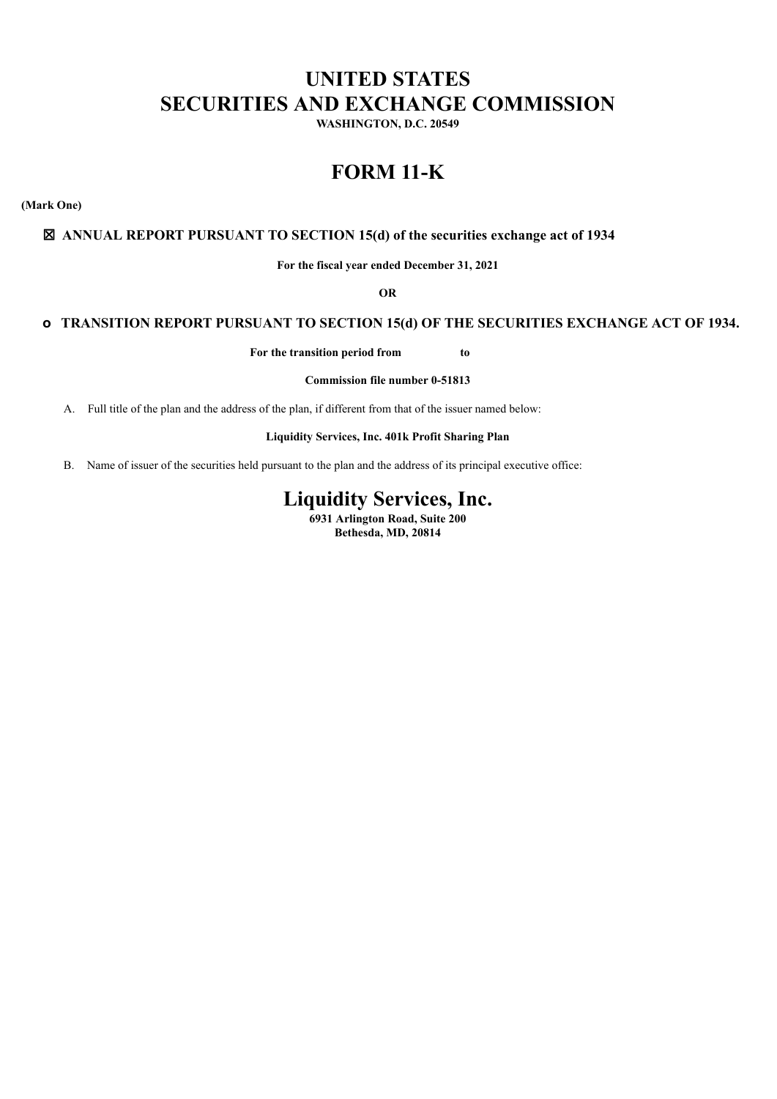# **UNITED STATES SECURITIES AND EXCHANGE COMMISSION**

**WASHINGTON, D.C. 20549**

# **FORM 11-K**

**(Mark One)**

# ☒ **ANNUAL REPORT PURSUANT TO SECTION 15(d) of the securities exchange act of 1934**

**For the fiscal year ended December 31, 2021**

**OR**

# **o TRANSITION REPORT PURSUANT TO SECTION 15(d) OF THE SECURITIES EXCHANGE ACT OF 1934.**

**For the transition period from to**

**Commission file number 0-51813**

A. Full title of the plan and the address of the plan, if different from that of the issuer named below:

**Liquidity Services, Inc. 401k Profit Sharing Plan**

B. Name of issuer of the securities held pursuant to the plan and the address of its principal executive office:

# **Liquidity Services, Inc.**

**6931 Arlington Road, Suite 200 Bethesda, MD, 20814**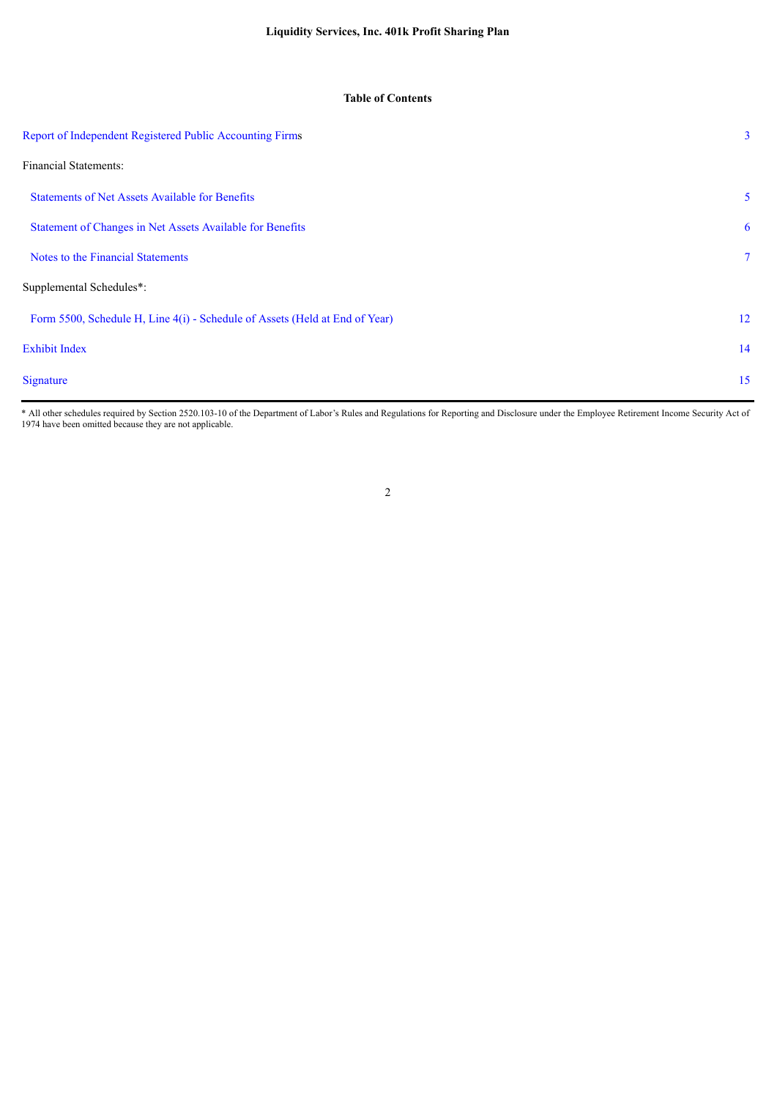# **Table of Contents**

| Report of Independent Registered Public Accounting Firms                    | 3      |
|-----------------------------------------------------------------------------|--------|
| <b>Financial Statements:</b>                                                |        |
| <b>Statements of Net Assets Available for Benefits</b>                      | 5      |
| Statement of Changes in Net Assets Available for Benefits                   | 6      |
| Notes to the Financial Statements                                           | $\tau$ |
| Supplemental Schedules*:                                                    |        |
| Form 5500, Schedule H, Line 4(i) - Schedule of Assets (Held at End of Year) | 12     |
| <b>Exhibit Index</b>                                                        | 14     |
| Signature                                                                   | 15     |

<span id="page-1-0"></span>\* All other schedules required by Section 2520.103-10 of the Department of Labor's Rules and Regulations for Reporting and Disclosure under the Employee Retirement Income Security Act of 1974 have been omitted because they are not applicable.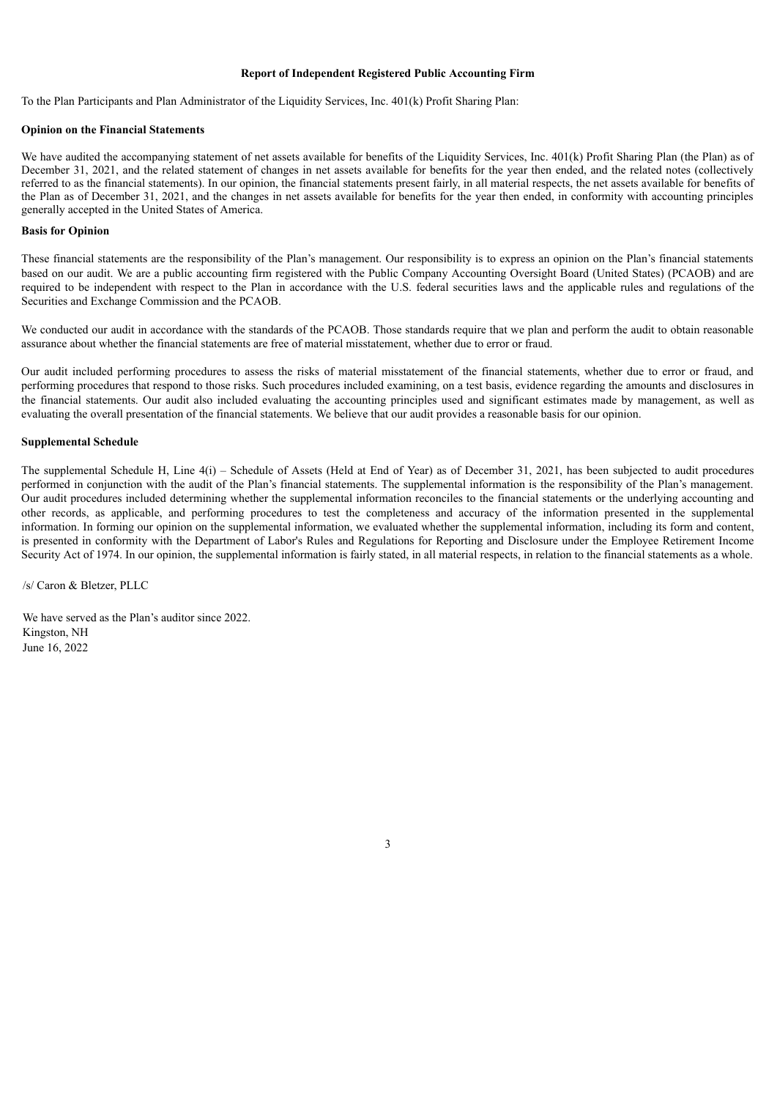#### **Report of Independent Registered Public Accounting Firm**

To the Plan Participants and Plan Administrator of the Liquidity Services, Inc. 401(k) Profit Sharing Plan:

## **Opinion on the Financial Statements**

We have audited the accompanying statement of net assets available for benefits of the Liquidity Services, Inc. 401(k) Profit Sharing Plan (the Plan) as of December 31, 2021, and the related statement of changes in net assets available for benefits for the year then ended, and the related notes (collectively referred to as the financial statements). In our opinion, the financial statements present fairly, in all material respects, the net assets available for benefits of the Plan as of December 31, 2021, and the changes in net assets available for benefits for the year then ended, in conformity with accounting principles generally accepted in the United States of America.

#### **Basis for Opinion**

These financial statements are the responsibility of the Plan's management. Our responsibility is to express an opinion on the Plan's financial statements based on our audit. We are a public accounting firm registered with the Public Company Accounting Oversight Board (United States) (PCAOB) and are required to be independent with respect to the Plan in accordance with the U.S. federal securities laws and the applicable rules and regulations of the Securities and Exchange Commission and the PCAOB.

We conducted our audit in accordance with the standards of the PCAOB. Those standards require that we plan and perform the audit to obtain reasonable assurance about whether the financial statements are free of material misstatement, whether due to error or fraud.

Our audit included performing procedures to assess the risks of material misstatement of the financial statements, whether due to error or fraud, and performing procedures that respond to those risks. Such procedures included examining, on a test basis, evidence regarding the amounts and disclosures in the financial statements. Our audit also included evaluating the accounting principles used and significant estimates made by management, as well as evaluating the overall presentation of the financial statements. We believe that our audit provides a reasonable basis for our opinion.

#### **Supplemental Schedule**

The supplemental Schedule H, Line 4(i) – Schedule of Assets (Held at End of Year) as of December 31, 2021, has been subjected to audit procedures performed in conjunction with the audit of the Plan's financial statements. The supplemental information is the responsibility of the Plan's management. Our audit procedures included determining whether the supplemental information reconciles to the financial statements or the underlying accounting and other records, as applicable, and performing procedures to test the completeness and accuracy of the information presented in the supplemental information. In forming our opinion on the supplemental information, we evaluated whether the supplemental information, including its form and content, is presented in conformity with the Department of Labor's Rules and Regulations for Reporting and Disclosure under the Employee Retirement Income Security Act of 1974. In our opinion, the supplemental information is fairly stated, in all material respects, in relation to the financial statements as a whole.

/s/ Caron & Bletzer, PLLC

We have served as the Plan's auditor since 2022. Kingston, NH June 16, 2022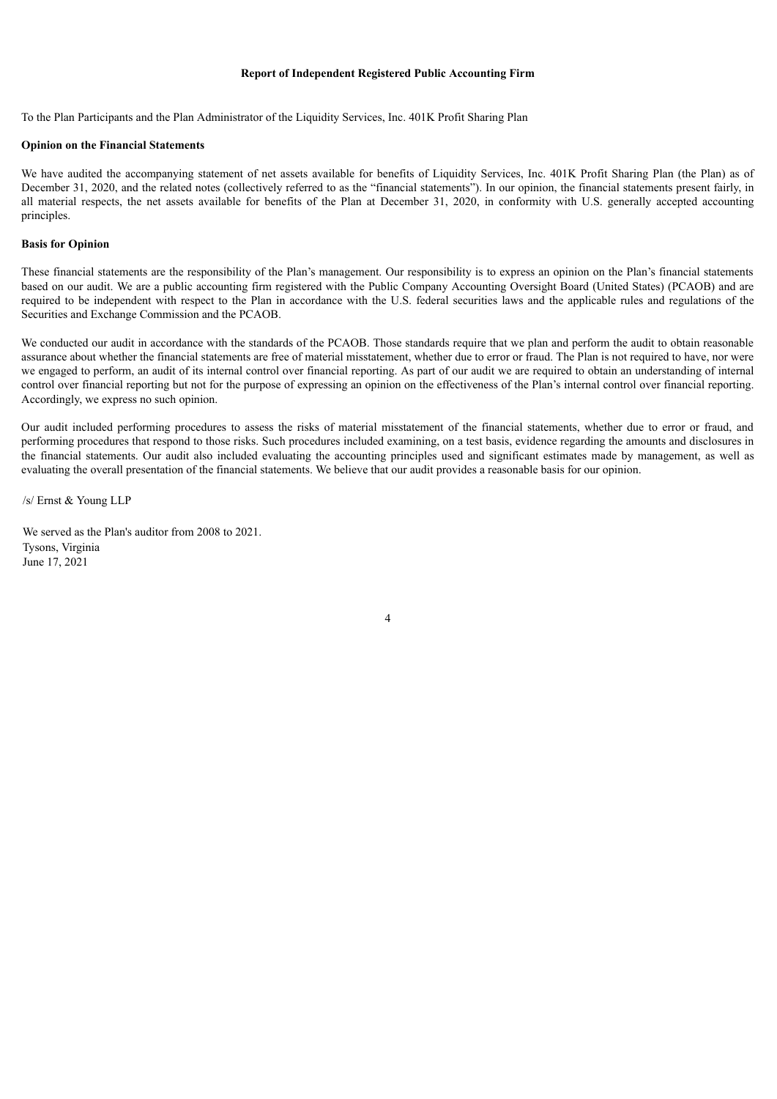#### **Report of Independent Registered Public Accounting Firm**

To the Plan Participants and the Plan Administrator of the Liquidity Services, Inc. 401K Profit Sharing Plan

## **Opinion on the Financial Statements**

We have audited the accompanying statement of net assets available for benefits of Liquidity Services, Inc. 401K Profit Sharing Plan (the Plan) as of December 31, 2020, and the related notes (collectively referred to as the "financial statements"). In our opinion, the financial statements present fairly, in all material respects, the net assets available for benefits of the Plan at December 31, 2020, in conformity with U.S. generally accepted accounting principles.

## **Basis for Opinion**

These financial statements are the responsibility of the Plan's management. Our responsibility is to express an opinion on the Plan's financial statements based on our audit. We are a public accounting firm registered with the Public Company Accounting Oversight Board (United States) (PCAOB) and are required to be independent with respect to the Plan in accordance with the U.S. federal securities laws and the applicable rules and regulations of the Securities and Exchange Commission and the PCAOB.

We conducted our audit in accordance with the standards of the PCAOB. Those standards require that we plan and perform the audit to obtain reasonable assurance about whether the financial statements are free of material misstatement, whether due to error or fraud. The Plan is not required to have, nor were we engaged to perform, an audit of its internal control over financial reporting. As part of our audit we are required to obtain an understanding of internal control over financial reporting but not for the purpose of expressing an opinion on the effectiveness of the Plan's internal control over financial reporting. Accordingly, we express no such opinion.

Our audit included performing procedures to assess the risks of material misstatement of the financial statements, whether due to error or fraud, and performing procedures that respond to those risks. Such procedures included examining, on a test basis, evidence regarding the amounts and disclosures in the financial statements. Our audit also included evaluating the accounting principles used and significant estimates made by management, as well as evaluating the overall presentation of the financial statements. We believe that our audit provides a reasonable basis for our opinion.

/s/ Ernst & Young LLP

<span id="page-3-0"></span>We served as the Plan's auditor from 2008 to 2021. Tysons, Virginia June 17, 2021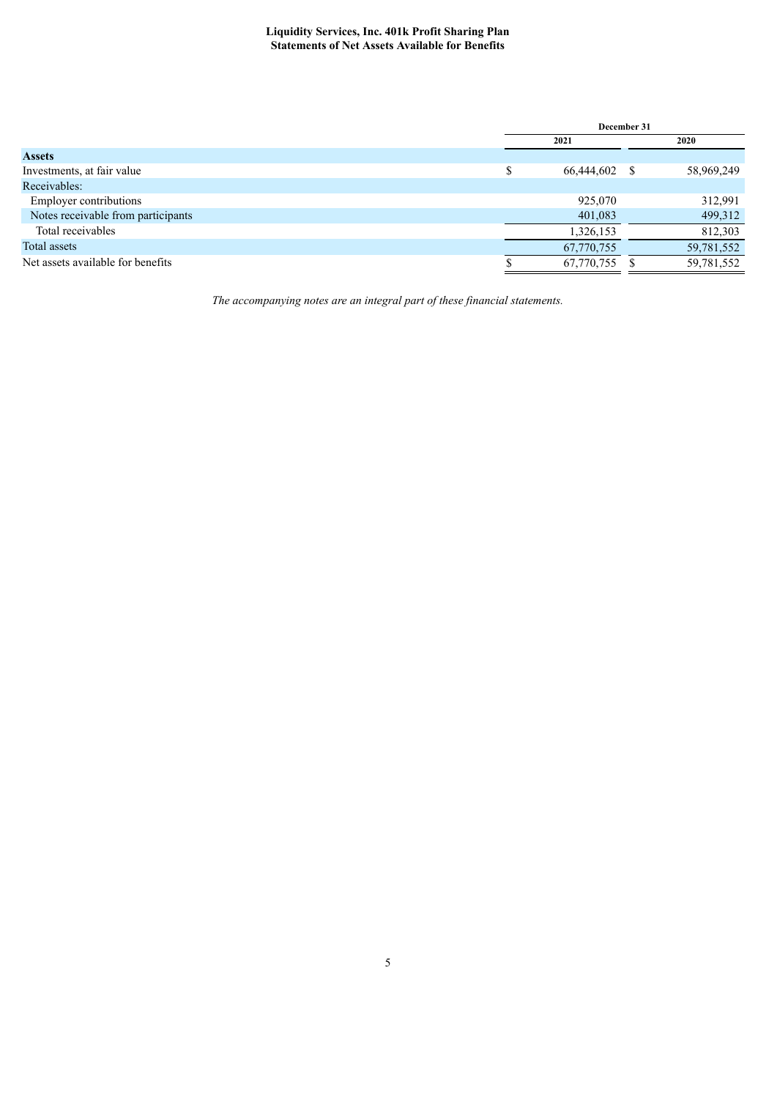#### **Liquidity Services, Inc. 401k Profit Sharing Plan Statements of Net Assets Available for Benefits**

|                                    |    | December 31<br>2021<br>2020 |  |            |
|------------------------------------|----|-----------------------------|--|------------|
|                                    |    |                             |  |            |
| <b>Assets</b>                      |    |                             |  |            |
| Investments, at fair value         | \$ | 66,444,602                  |  | 58,969,249 |
| Receivables:                       |    |                             |  |            |
| <b>Employer contributions</b>      |    | 925,070                     |  | 312,991    |
| Notes receivable from participants |    | 401,083                     |  | 499,312    |
| Total receivables                  |    | 1,326,153                   |  | 812,303    |
| Total assets                       |    | 67,770,755                  |  | 59,781,552 |
| Net assets available for benefits  |    | 67,770,755                  |  | 59,781,552 |

<span id="page-4-0"></span>*The accompanying notes are an integral part of these financial statements.*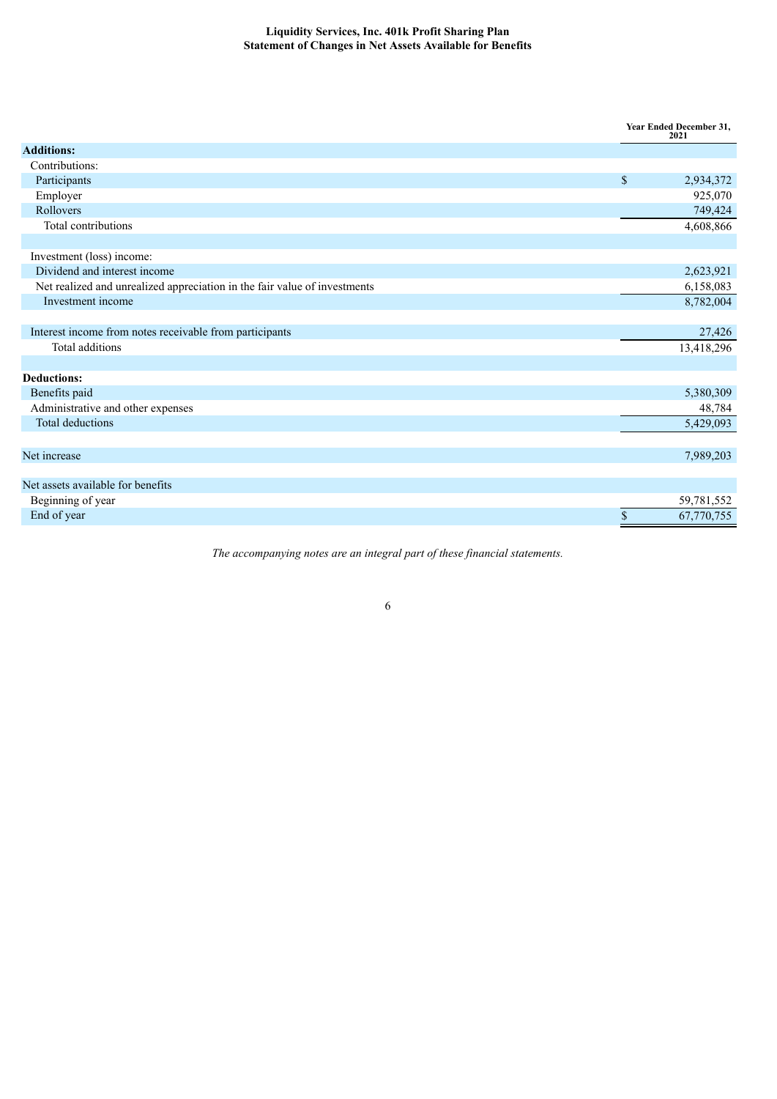# **Liquidity Services, Inc. 401k Profit Sharing Plan Statement of Changes in Net Assets Available for Benefits**

| <b>Additions:</b><br>Contributions:<br>Participants<br>\$<br>2,934,372<br>925,070<br>Employer<br>Rollovers<br>749,424<br>Total contributions<br>4,608,866<br>Investment (loss) income:<br>Dividend and interest income<br>2,623,921<br>Net realized and unrealized appreciation in the fair value of investments<br>6,158,083<br>Investment income<br>8,782,004<br>Interest income from notes receivable from participants<br>27,426<br>Total additions<br>13,418,296<br><b>Deductions:</b><br>Benefits paid<br>5,380,309<br>Administrative and other expenses<br>48,784<br>Total deductions<br>5,429,093<br>Net increase<br>7,989,203<br>Net assets available for benefits<br>Beginning of year<br>59,781,552<br>End of year<br>\$<br>67,770,755 |  | Year Ended December 31,<br>2021 |  |
|---------------------------------------------------------------------------------------------------------------------------------------------------------------------------------------------------------------------------------------------------------------------------------------------------------------------------------------------------------------------------------------------------------------------------------------------------------------------------------------------------------------------------------------------------------------------------------------------------------------------------------------------------------------------------------------------------------------------------------------------------|--|---------------------------------|--|
|                                                                                                                                                                                                                                                                                                                                                                                                                                                                                                                                                                                                                                                                                                                                                   |  |                                 |  |
|                                                                                                                                                                                                                                                                                                                                                                                                                                                                                                                                                                                                                                                                                                                                                   |  |                                 |  |
|                                                                                                                                                                                                                                                                                                                                                                                                                                                                                                                                                                                                                                                                                                                                                   |  |                                 |  |
|                                                                                                                                                                                                                                                                                                                                                                                                                                                                                                                                                                                                                                                                                                                                                   |  |                                 |  |
|                                                                                                                                                                                                                                                                                                                                                                                                                                                                                                                                                                                                                                                                                                                                                   |  |                                 |  |
|                                                                                                                                                                                                                                                                                                                                                                                                                                                                                                                                                                                                                                                                                                                                                   |  |                                 |  |
|                                                                                                                                                                                                                                                                                                                                                                                                                                                                                                                                                                                                                                                                                                                                                   |  |                                 |  |
|                                                                                                                                                                                                                                                                                                                                                                                                                                                                                                                                                                                                                                                                                                                                                   |  |                                 |  |
|                                                                                                                                                                                                                                                                                                                                                                                                                                                                                                                                                                                                                                                                                                                                                   |  |                                 |  |
|                                                                                                                                                                                                                                                                                                                                                                                                                                                                                                                                                                                                                                                                                                                                                   |  |                                 |  |
|                                                                                                                                                                                                                                                                                                                                                                                                                                                                                                                                                                                                                                                                                                                                                   |  |                                 |  |
|                                                                                                                                                                                                                                                                                                                                                                                                                                                                                                                                                                                                                                                                                                                                                   |  |                                 |  |
|                                                                                                                                                                                                                                                                                                                                                                                                                                                                                                                                                                                                                                                                                                                                                   |  |                                 |  |
|                                                                                                                                                                                                                                                                                                                                                                                                                                                                                                                                                                                                                                                                                                                                                   |  |                                 |  |
|                                                                                                                                                                                                                                                                                                                                                                                                                                                                                                                                                                                                                                                                                                                                                   |  |                                 |  |
|                                                                                                                                                                                                                                                                                                                                                                                                                                                                                                                                                                                                                                                                                                                                                   |  |                                 |  |
|                                                                                                                                                                                                                                                                                                                                                                                                                                                                                                                                                                                                                                                                                                                                                   |  |                                 |  |
|                                                                                                                                                                                                                                                                                                                                                                                                                                                                                                                                                                                                                                                                                                                                                   |  |                                 |  |
|                                                                                                                                                                                                                                                                                                                                                                                                                                                                                                                                                                                                                                                                                                                                                   |  |                                 |  |
|                                                                                                                                                                                                                                                                                                                                                                                                                                                                                                                                                                                                                                                                                                                                                   |  |                                 |  |
|                                                                                                                                                                                                                                                                                                                                                                                                                                                                                                                                                                                                                                                                                                                                                   |  |                                 |  |
|                                                                                                                                                                                                                                                                                                                                                                                                                                                                                                                                                                                                                                                                                                                                                   |  |                                 |  |
|                                                                                                                                                                                                                                                                                                                                                                                                                                                                                                                                                                                                                                                                                                                                                   |  |                                 |  |
|                                                                                                                                                                                                                                                                                                                                                                                                                                                                                                                                                                                                                                                                                                                                                   |  |                                 |  |
|                                                                                                                                                                                                                                                                                                                                                                                                                                                                                                                                                                                                                                                                                                                                                   |  |                                 |  |

<span id="page-5-0"></span>*The accompanying notes are an integral part of these financial statements.*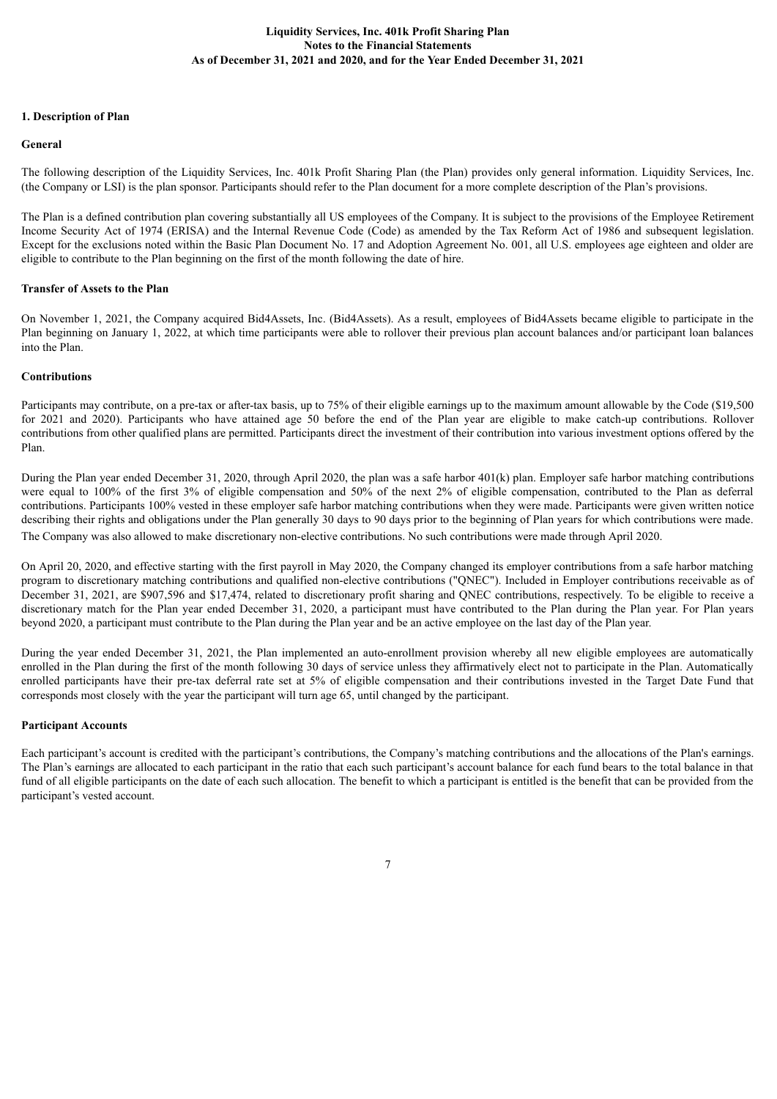# **Liquidity Services, Inc. 401k Profit Sharing Plan Notes to the Financial Statements As of December 31, 2021 and 2020, and for the Year Ended December 31, 2021**

## **1. Description of Plan**

#### **General**

The following description of the Liquidity Services, Inc. 401k Profit Sharing Plan (the Plan) provides only general information. Liquidity Services, Inc. (the Company or LSI) is the plan sponsor. Participants should refer to the Plan document for a more complete description of the Plan's provisions.

The Plan is a defined contribution plan covering substantially all US employees of the Company. It is subject to the provisions of the Employee Retirement Income Security Act of 1974 (ERISA) and the Internal Revenue Code (Code) as amended by the Tax Reform Act of 1986 and subsequent legislation. Except for the exclusions noted within the Basic Plan Document No. 17 and Adoption Agreement No. 001, all U.S. employees age eighteen and older are eligible to contribute to the Plan beginning on the first of the month following the date of hire.

# **Transfer of Assets to the Plan**

On November 1, 2021, the Company acquired Bid4Assets, Inc. (Bid4Assets). As a result, employees of Bid4Assets became eligible to participate in the Plan beginning on January 1, 2022, at which time participants were able to rollover their previous plan account balances and/or participant loan balances into the Plan.

#### **Contributions**

Participants may contribute, on a pre-tax or after-tax basis, up to 75% of their eligible earnings up to the maximum amount allowable by the Code (\$19,500 for 2021 and 2020). Participants who have attained age 50 before the end of the Plan year are eligible to make catch-up contributions. Rollover contributions from other qualified plans are permitted. Participants direct the investment of their contribution into various investment options offered by the Plan.

During the Plan year ended December 31, 2020, through April 2020, the plan was a safe harbor 401(k) plan. Employer safe harbor matching contributions were equal to 100% of the first 3% of eligible compensation and 50% of the next 2% of eligible compensation, contributed to the Plan as deferral contributions. Participants 100% vested in these employer safe harbor matching contributions when they were made. Participants were given written notice describing their rights and obligations under the Plan generally 30 days to 90 days prior to the beginning of Plan years for which contributions were made. The Company was also allowed to make discretionary non-elective contributions. No such contributions were made through April 2020.

On April 20, 2020, and effective starting with the first payroll in May 2020, the Company changed its employer contributions from a safe harbor matching program to discretionary matching contributions and qualified non-elective contributions ("QNEC"). Included in Employer contributions receivable as of December 31, 2021, are \$907,596 and \$17,474, related to discretionary profit sharing and QNEC contributions, respectively. To be eligible to receive a discretionary match for the Plan year ended December 31, 2020, a participant must have contributed to the Plan during the Plan year. For Plan years beyond 2020, a participant must contribute to the Plan during the Plan year and be an active employee on the last day of the Plan year.

During the year ended December 31, 2021, the Plan implemented an auto-enrollment provision whereby all new eligible employees are automatically enrolled in the Plan during the first of the month following 30 days of service unless they affirmatively elect not to participate in the Plan. Automatically enrolled participants have their pre-tax deferral rate set at 5% of eligible compensation and their contributions invested in the Target Date Fund that corresponds most closely with the year the participant will turn age 65, until changed by the participant.

# **Participant Accounts**

Each participant's account is credited with the participant's contributions, the Company's matching contributions and the allocations of the Plan's earnings. The Plan's earnings are allocated to each participant in the ratio that each such participant's account balance for each fund bears to the total balance in that fund of all eligible participants on the date of each such allocation. The benefit to which a participant is entitled is the benefit that can be provided from the participant's vested account.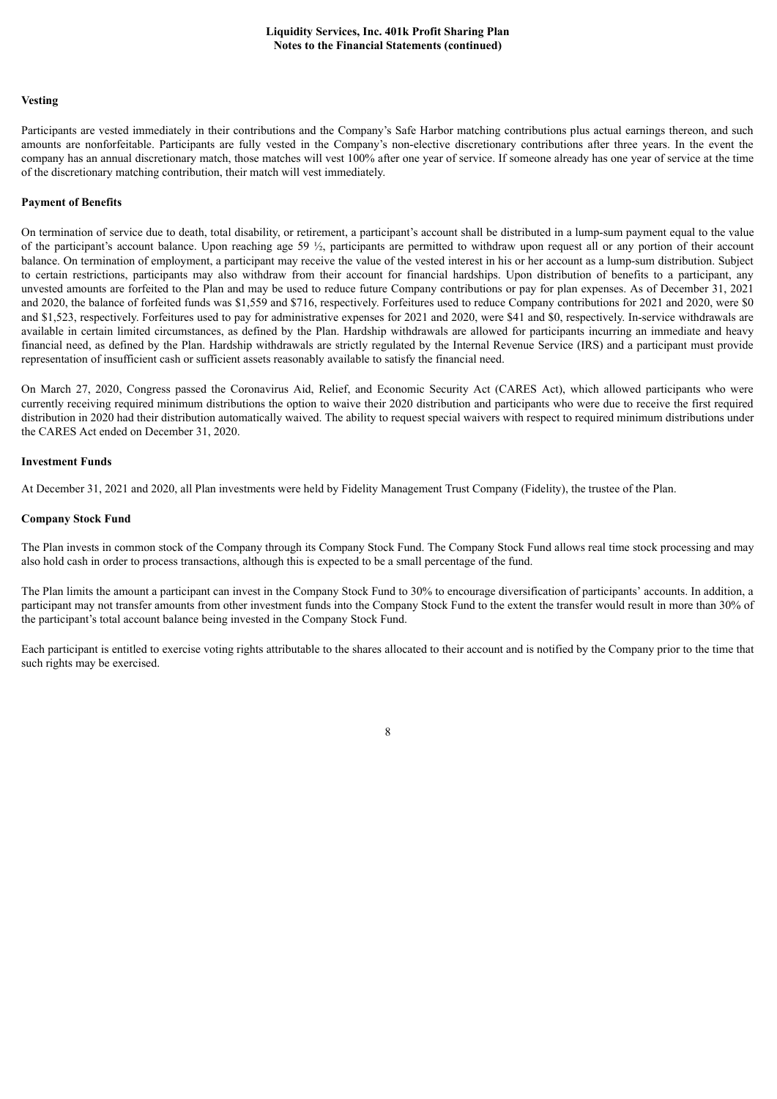#### **Vesting**

Participants are vested immediately in their contributions and the Company's Safe Harbor matching contributions plus actual earnings thereon, and such amounts are nonforfeitable. Participants are fully vested in the Company's non-elective discretionary contributions after three years. In the event the company has an annual discretionary match, those matches will vest 100% after one year of service. If someone already has one year of service at the time of the discretionary matching contribution, their match will vest immediately.

#### **Payment of Benefits**

On termination of service due to death, total disability, or retirement, a participant's account shall be distributed in a lump-sum payment equal to the value of the participant's account balance. Upon reaching age 59  $\frac{1}{2}$ , participants are permitted to withdraw upon request all or any portion of their account balance. On termination of employment, a participant may receive the value of the vested interest in his or her account as a lump-sum distribution. Subject to certain restrictions, participants may also withdraw from their account for financial hardships. Upon distribution of benefits to a participant, any unvested amounts are forfeited to the Plan and may be used to reduce future Company contributions or pay for plan expenses. As of December 31, 2021 and 2020, the balance of forfeited funds was \$1,559 and \$716, respectively. Forfeitures used to reduce Company contributions for 2021 and 2020, were \$0 and \$1,523, respectively. Forfeitures used to pay for administrative expenses for 2021 and 2020, were \$41 and \$0, respectively. In-service withdrawals are available in certain limited circumstances, as defined by the Plan. Hardship withdrawals are allowed for participants incurring an immediate and heavy financial need, as defined by the Plan. Hardship withdrawals are strictly regulated by the Internal Revenue Service (IRS) and a participant must provide representation of insufficient cash or sufficient assets reasonably available to satisfy the financial need.

On March 27, 2020, Congress passed the Coronavirus Aid, Relief, and Economic Security Act (CARES Act), which allowed participants who were currently receiving required minimum distributions the option to waive their 2020 distribution and participants who were due to receive the first required distribution in 2020 had their distribution automatically waived. The ability to request special waivers with respect to required minimum distributions under the CARES Act ended on December 31, 2020.

#### **Investment Funds**

At December 31, 2021 and 2020, all Plan investments were held by Fidelity Management Trust Company (Fidelity), the trustee of the Plan.

#### **Company Stock Fund**

The Plan invests in common stock of the Company through its Company Stock Fund. The Company Stock Fund allows real time stock processing and may also hold cash in order to process transactions, although this is expected to be a small percentage of the fund.

The Plan limits the amount a participant can invest in the Company Stock Fund to 30% to encourage diversification of participants' accounts. In addition, a participant may not transfer amounts from other investment funds into the Company Stock Fund to the extent the transfer would result in more than 30% of the participant's total account balance being invested in the Company Stock Fund.

Each participant is entitled to exercise voting rights attributable to the shares allocated to their account and is notified by the Company prior to the time that such rights may be exercised.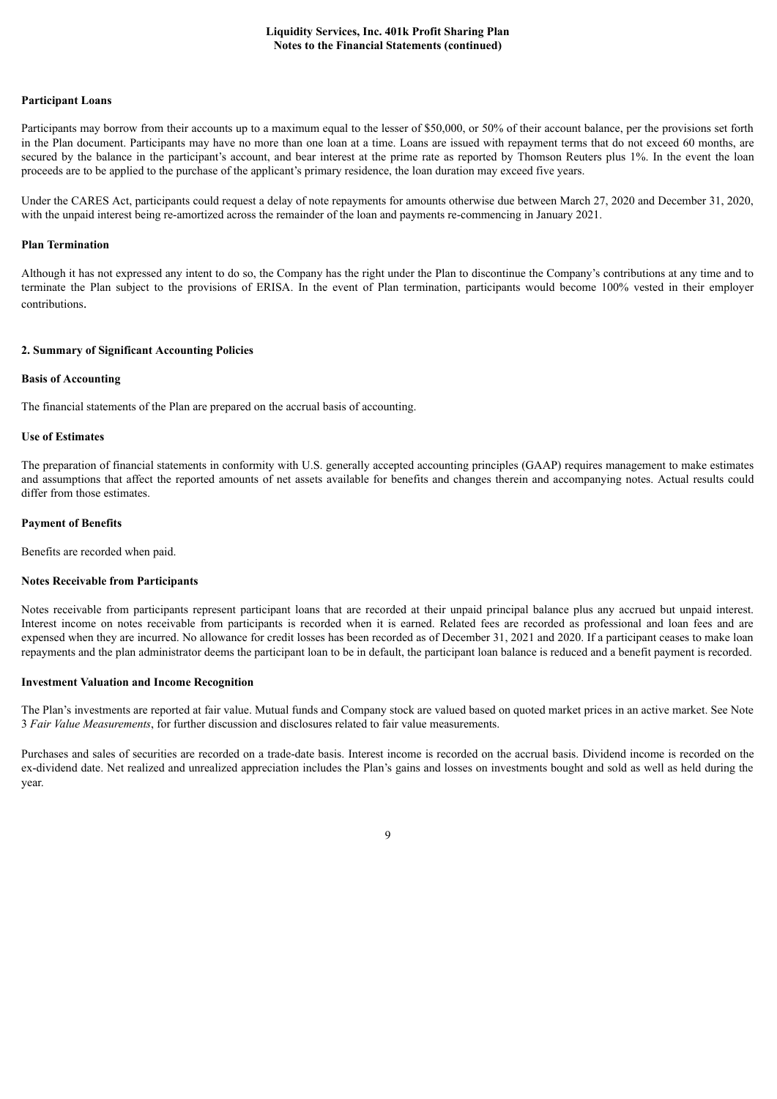#### **Participant Loans**

Participants may borrow from their accounts up to a maximum equal to the lesser of \$50,000, or 50% of their account balance, per the provisions set forth in the Plan document. Participants may have no more than one loan at a time. Loans are issued with repayment terms that do not exceed 60 months, are secured by the balance in the participant's account, and bear interest at the prime rate as reported by Thomson Reuters plus 1%. In the event the loan proceeds are to be applied to the purchase of the applicant's primary residence, the loan duration may exceed five years.

Under the CARES Act, participants could request a delay of note repayments for amounts otherwise due between March 27, 2020 and December 31, 2020, with the unpaid interest being re-amortized across the remainder of the loan and payments re-commencing in January 2021.

#### **Plan Termination**

Although it has not expressed any intent to do so, the Company has the right under the Plan to discontinue the Company's contributions at any time and to terminate the Plan subject to the provisions of ERISA. In the event of Plan termination, participants would become 100% vested in their employer contributions.

#### **2. Summary of Significant Accounting Policies**

#### **Basis of Accounting**

The financial statements of the Plan are prepared on the accrual basis of accounting.

#### **Use of Estimates**

The preparation of financial statements in conformity with U.S. generally accepted accounting principles (GAAP) requires management to make estimates and assumptions that affect the reported amounts of net assets available for benefits and changes therein and accompanying notes. Actual results could differ from those estimates.

#### **Payment of Benefits**

Benefits are recorded when paid.

#### **Notes Receivable from Participants**

Notes receivable from participants represent participant loans that are recorded at their unpaid principal balance plus any accrued but unpaid interest. Interest income on notes receivable from participants is recorded when it is earned. Related fees are recorded as professional and loan fees and are expensed when they are incurred. No allowance for credit losses has been recorded as of December 31, 2021 and 2020. If a participant ceases to make loan repayments and the plan administrator deems the participant loan to be in default, the participant loan balance is reduced and a benefit payment is recorded.

#### **Investment Valuation and Income Recognition**

The Plan's investments are reported at fair value. Mutual funds and Company stock are valued based on quoted market prices in an active market. See Note 3 *Fair Value Measurements*, for further discussion and disclosures related to fair value measurements.

Purchases and sales of securities are recorded on a trade-date basis. Interest income is recorded on the accrual basis. Dividend income is recorded on the ex-dividend date. Net realized and unrealized appreciation includes the Plan's gains and losses on investments bought and sold as well as held during the year.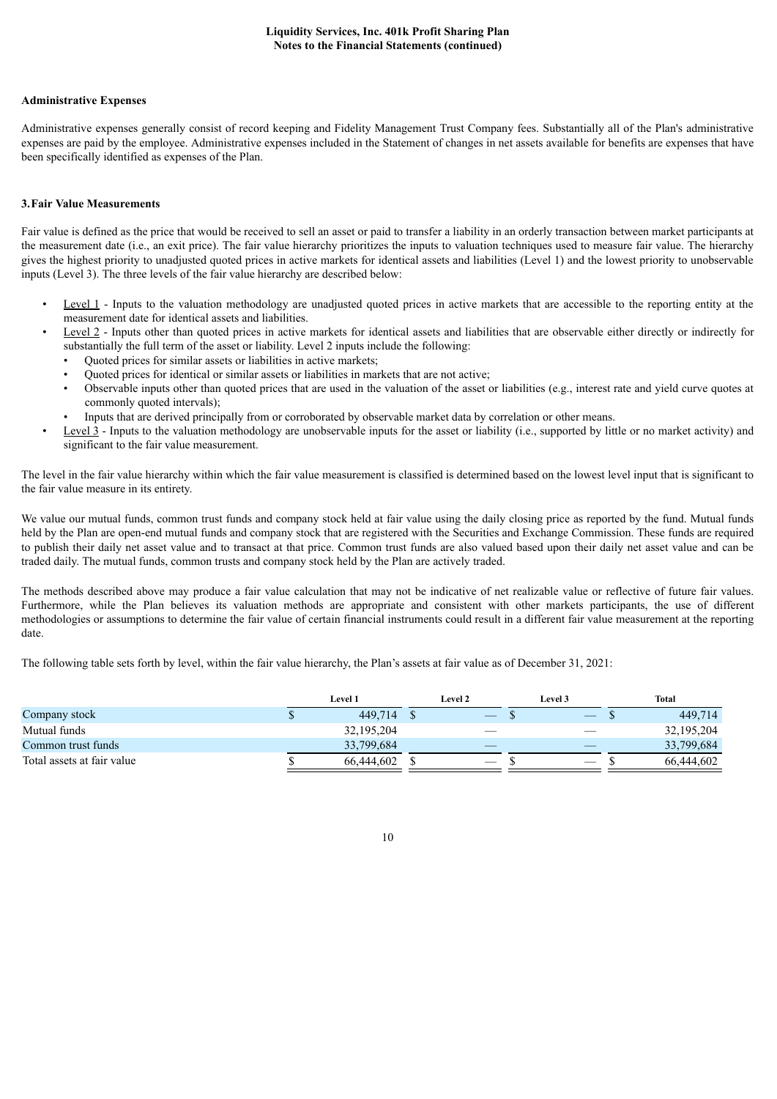#### **Administrative Expenses**

Administrative expenses generally consist of record keeping and Fidelity Management Trust Company fees. Substantially all of the Plan's administrative expenses are paid by the employee. Administrative expenses included in the Statement of changes in net assets available for benefits are expenses that have been specifically identified as expenses of the Plan.

## **3.Fair Value Measurements**

Fair value is defined as the price that would be received to sell an asset or paid to transfer a liability in an orderly transaction between market participants at the measurement date (i.e., an exit price). The fair value hierarchy prioritizes the inputs to valuation techniques used to measure fair value. The hierarchy gives the highest priority to unadjusted quoted prices in active markets for identical assets and liabilities (Level 1) and the lowest priority to unobservable inputs (Level 3). The three levels of the fair value hierarchy are described below:

- Level 1 Inputs to the valuation methodology are unadjusted quoted prices in active markets that are accessible to the reporting entity at the measurement date for identical assets and liabilities.
- Level 2 Inputs other than quoted prices in active markets for identical assets and liabilities that are observable either directly or indirectly for substantially the full term of the asset or liability. Level 2 inputs include the following:
	- Quoted prices for similar assets or liabilities in active markets;
	- Quoted prices for identical or similar assets or liabilities in markets that are not active;
	- Observable inputs other than quoted prices that are used in the valuation of the asset or liabilities (e.g., interest rate and yield curve quotes at commonly quoted intervals);
	- Inputs that are derived principally from or corroborated by observable market data by correlation or other means.
- Level 3 Inputs to the valuation methodology are unobservable inputs for the asset or liability (i.e., supported by little or no market activity) and significant to the fair value measurement.

The level in the fair value hierarchy within which the fair value measurement is classified is determined based on the lowest level input that is significant to the fair value measure in its entirety.

We value our mutual funds, common trust funds and company stock held at fair value using the daily closing price as reported by the fund. Mutual funds held by the Plan are open-end mutual funds and company stock that are registered with the Securities and Exchange Commission. These funds are required to publish their daily net asset value and to transact at that price. Common trust funds are also valued based upon their daily net asset value and can be traded daily. The mutual funds, common trusts and company stock held by the Plan are actively traded.

The methods described above may produce a fair value calculation that may not be indicative of net realizable value or reflective of future fair values. Furthermore, while the Plan believes its valuation methods are appropriate and consistent with other markets participants, the use of different methodologies or assumptions to determine the fair value of certain financial instruments could result in a different fair value measurement at the reporting date.

The following table sets forth by level, within the fair value hierarchy, the Plan's assets at fair value as of December 31, 2021:

|                            | <b>Level 1</b> | <b>Level 2</b>           | <b>Level 3</b>                  | Total      |
|----------------------------|----------------|--------------------------|---------------------------------|------------|
| Company stock              | 449.714        |                          | _                               | 449.714    |
| Mutual funds               | 32,195,204     | –                        |                                 | 32,195,204 |
| Common trust funds         | 33,799,684     |                          |                                 | 33,799,684 |
| Total assets at fair value | 66.444.602     | $\overline{\phantom{a}}$ | $\hspace{0.1mm}-\hspace{0.1mm}$ | 66.444.602 |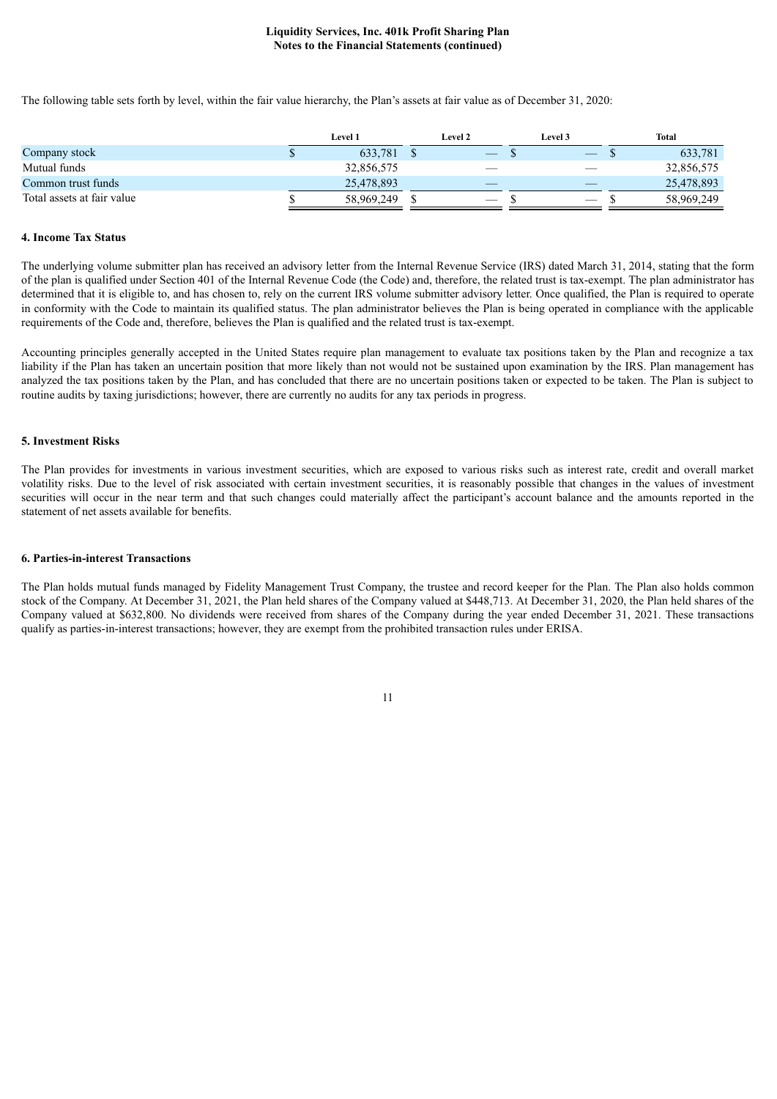The following table sets forth by level, within the fair value hierarchy, the Plan's assets at fair value as of December 31, 2020:

|                            | Level 1    | Level 2           | <b>Level 3</b>                            | Total      |
|----------------------------|------------|-------------------|-------------------------------------------|------------|
| Company stock              | 633.781    |                   | $\qquad \qquad \overline{\qquad \qquad }$ | 633,781    |
| Mutual funds               | 32,856,575 | $\hspace{0.05cm}$ |                                           | 32,856,575 |
| Common trust funds         | 25,478,893 |                   |                                           | 25,478,893 |
| Total assets at fair value | 58,969,249 |                   | $\overline{\phantom{0}}$                  | 58,969,249 |

#### **4. Income Tax Status**

The underlying volume submitter plan has received an advisory letter from the Internal Revenue Service (IRS) dated March 31, 2014, stating that the form of the plan is qualified under Section 401 of the Internal Revenue Code (the Code) and, therefore, the related trust is tax-exempt. The plan administrator has determined that it is eligible to, and has chosen to, rely on the current IRS volume submitter advisory letter. Once qualified, the Plan is required to operate in conformity with the Code to maintain its qualified status. The plan administrator believes the Plan is being operated in compliance with the applicable requirements of the Code and, therefore, believes the Plan is qualified and the related trust is tax-exempt.

Accounting principles generally accepted in the United States require plan management to evaluate tax positions taken by the Plan and recognize a tax liability if the Plan has taken an uncertain position that more likely than not would not be sustained upon examination by the IRS. Plan management has analyzed the tax positions taken by the Plan, and has concluded that there are no uncertain positions taken or expected to be taken. The Plan is subject to routine audits by taxing jurisdictions; however, there are currently no audits for any tax periods in progress.

## **5. Investment Risks**

The Plan provides for investments in various investment securities, which are exposed to various risks such as interest rate, credit and overall market volatility risks. Due to the level of risk associated with certain investment securities, it is reasonably possible that changes in the values of investment securities will occur in the near term and that such changes could materially affect the participant's account balance and the amounts reported in the statement of net assets available for benefits.

#### **6. Parties-in-interest Transactions**

<span id="page-10-0"></span>The Plan holds mutual funds managed by Fidelity Management Trust Company, the trustee and record keeper for the Plan. The Plan also holds common stock of the Company. At December 31, 2021, the Plan held shares of the Company valued at \$448,713. At December 31, 2020, the Plan held shares of the Company valued at \$632,800. No dividends were received from shares of the Company during the year ended December 31, 2021. These transactions qualify as parties-in-interest transactions; however, they are exempt from the prohibited transaction rules under ERISA.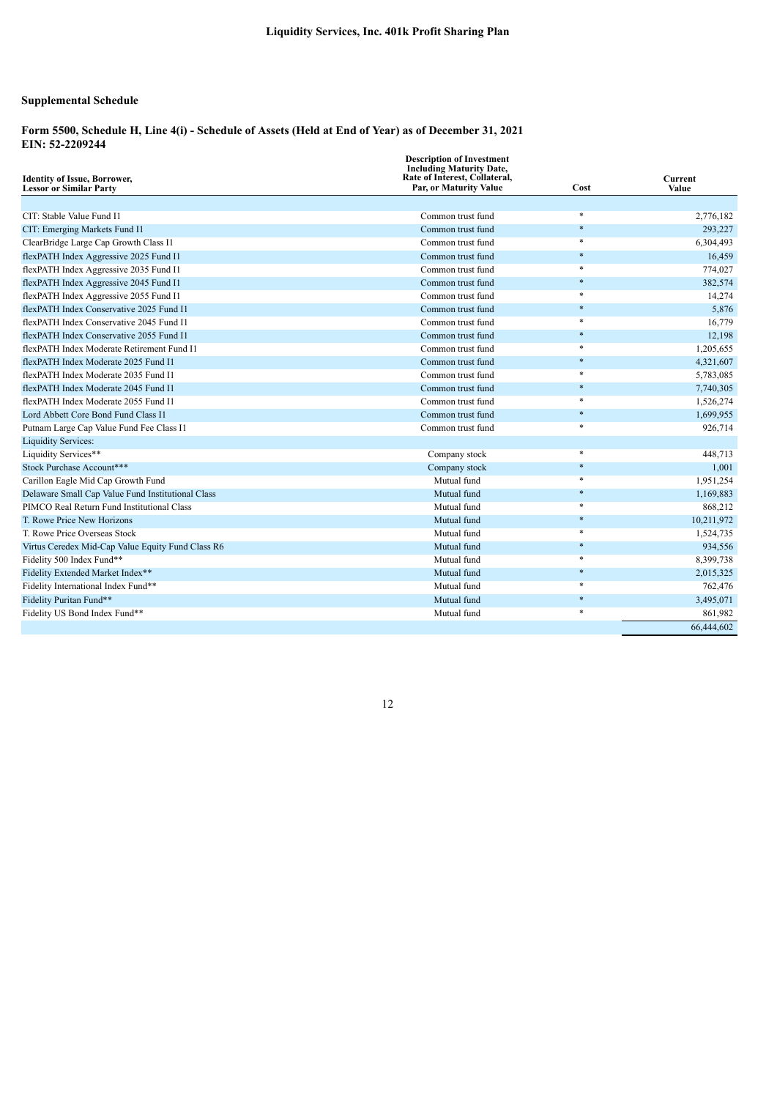# **Supplemental Schedule**

Form 5500, Schedule H, Line 4(i) - Schedule of Assets (Held at End of Year) as of December 31, 2021 **EIN: 52-2209244**

| <b>Identity of Issue, Borrower,</b><br><b>Lessor</b> or Similar Party | <b>Description of Investment</b><br><b>Including Maturity Date,</b><br>Rate of Interest, Collateral,<br>Par, or Maturity Value | Cost   | <b>Current</b><br>Value |
|-----------------------------------------------------------------------|--------------------------------------------------------------------------------------------------------------------------------|--------|-------------------------|
|                                                                       |                                                                                                                                |        |                         |
| CIT: Stable Value Fund I1                                             | Common trust fund                                                                                                              | $\ast$ | 2,776,182               |
| CIT: Emerging Markets Fund I1                                         | Common trust fund                                                                                                              | $\ast$ | 293,227                 |
| ClearBridge Large Cap Growth Class I1                                 | Common trust fund                                                                                                              | $\ast$ | 6,304,493               |
| flexPATH Index Aggressive 2025 Fund I1                                | Common trust fund                                                                                                              | $\ast$ | 16,459                  |
| flexPATH Index Aggressive 2035 Fund I1                                | Common trust fund                                                                                                              | $\ast$ | 774,027                 |
| flexPATH Index Aggressive 2045 Fund I1                                | Common trust fund                                                                                                              | $\ast$ | 382,574                 |
| flexPATH Index Aggressive 2055 Fund I1                                | Common trust fund                                                                                                              | $\ast$ | 14,274                  |
| flexPATH Index Conservative 2025 Fund I1                              | Common trust fund                                                                                                              | $\ast$ | 5,876                   |
| flexPATH Index Conservative 2045 Fund I1                              | Common trust fund                                                                                                              | $\ast$ | 16,779                  |
| flexPATH Index Conservative 2055 Fund I1                              | Common trust fund                                                                                                              | $\ast$ | 12,198                  |
| flexPATH Index Moderate Retirement Fund I1                            | Common trust fund                                                                                                              | $\ast$ | 1,205,655               |
| flexPATH Index Moderate 2025 Fund I1                                  | Common trust fund                                                                                                              | $\ast$ | 4,321,607               |
| flexPATH Index Moderate 2035 Fund I1                                  | Common trust fund                                                                                                              | $\ast$ | 5,783,085               |
| flexPATH Index Moderate 2045 Fund I1                                  | Common trust fund                                                                                                              | $\ast$ | 7,740,305               |
| flexPATH Index Moderate 2055 Fund I1                                  | Common trust fund                                                                                                              | $\ast$ | 1,526,274               |
| Lord Abbett Core Bond Fund Class I1                                   | Common trust fund                                                                                                              | $\ast$ | 1,699,955               |
| Putnam Large Cap Value Fund Fee Class I1                              | Common trust fund                                                                                                              | $\ast$ | 926,714                 |
| <b>Liquidity Services:</b>                                            |                                                                                                                                |        |                         |
| Liquidity Services**                                                  | Company stock                                                                                                                  | *      | 448,713                 |
| Stock Purchase Account***                                             | Company stock                                                                                                                  | $\ast$ | 1,001                   |
| Carillon Eagle Mid Cap Growth Fund                                    | Mutual fund                                                                                                                    | $\ast$ | 1,951,254               |
| Delaware Small Cap Value Fund Institutional Class                     | Mutual fund                                                                                                                    | $\ast$ | 1,169,883               |
| PIMCO Real Return Fund Institutional Class                            | Mutual fund                                                                                                                    | *      | 868,212                 |
| T. Rowe Price New Horizons                                            | Mutual fund                                                                                                                    | $\ast$ | 10,211,972              |
| T. Rowe Price Overseas Stock                                          | Mutual fund                                                                                                                    | $\ast$ | 1,524,735               |
| Virtus Ceredex Mid-Cap Value Equity Fund Class R6                     | Mutual fund                                                                                                                    | $\ast$ | 934,556                 |
| Fidelity 500 Index Fund**                                             | Mutual fund                                                                                                                    | $\ast$ | 8,399,738               |
| Fidelity Extended Market Index**                                      | Mutual fund                                                                                                                    | $\ast$ | 2,015,325               |
| Fidelity International Index Fund**                                   | Mutual fund                                                                                                                    | $\ast$ | 762,476                 |
| Fidelity Puritan Fund**                                               | Mutual fund                                                                                                                    | $\ast$ | 3,495,071               |
| Fidelity US Bond Index Fund**                                         | Mutual fund                                                                                                                    | *      | 861,982                 |
|                                                                       |                                                                                                                                |        | 66.444.602              |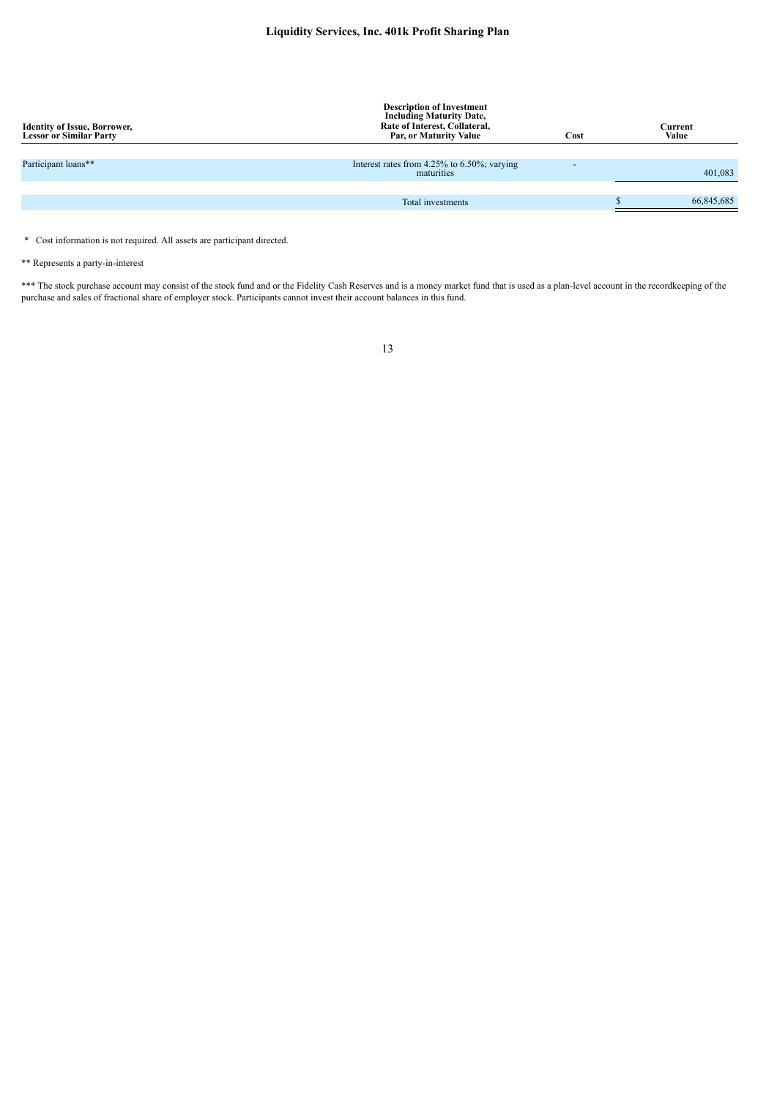| <b>Identity of Issue, Borrower,</b><br><b>Lessor</b> or Similar Party | <b>Description of Investment</b><br><b>Including Maturity Date,</b><br>Rate of Interest, Collateral,<br>Par, or Maturity Value | Cost | Current<br>Value |
|-----------------------------------------------------------------------|--------------------------------------------------------------------------------------------------------------------------------|------|------------------|
| Participant loans**                                                   | Interest rates from $4.25\%$ to $6.50\%$ ; varying<br>maturities                                                               |      | 401,083          |
|                                                                       |                                                                                                                                |      |                  |
|                                                                       | Total investments                                                                                                              |      | 66,845,685       |

\* Cost information is not required. All assets are participant directed.

\*\* Represents a party-in-interest

<span id="page-12-0"></span>\*\*\* The stock purchase account may consist of the stock fund and or the Fidelity Cash Reserves and is a money market fund that is used as a plan-level account in the recordkeeping of the purchase and sales of fractional share of employer stock. Participants cannot invest their account balances in this fund.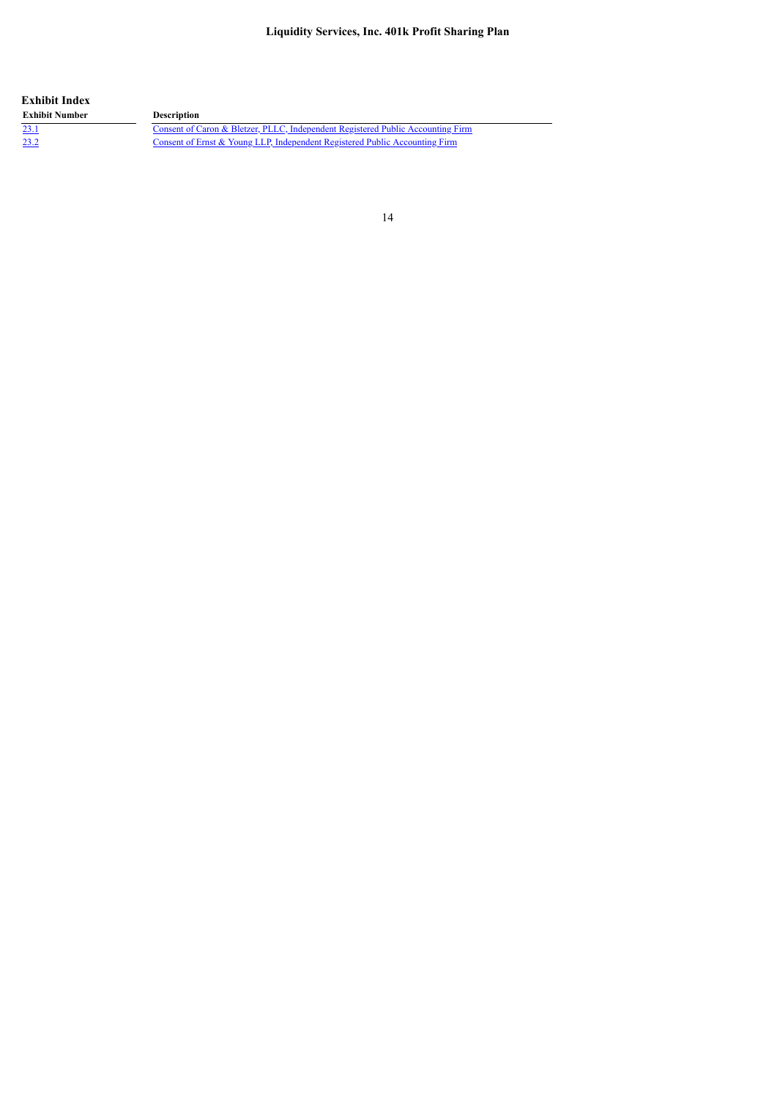<span id="page-13-0"></span>

| Exhibit Index         |                                                                                        |
|-----------------------|----------------------------------------------------------------------------------------|
| <b>Exhibit Number</b> | <b>Description</b>                                                                     |
| <u>23.1</u>           | Consent of Caron & Bletzer, PLLC, Independent Registered Public Accounting Firm        |
| 23.2                  | <u>Consent of Ernst &amp; Young LLP, Independent Registered Public Accounting Firm</u> |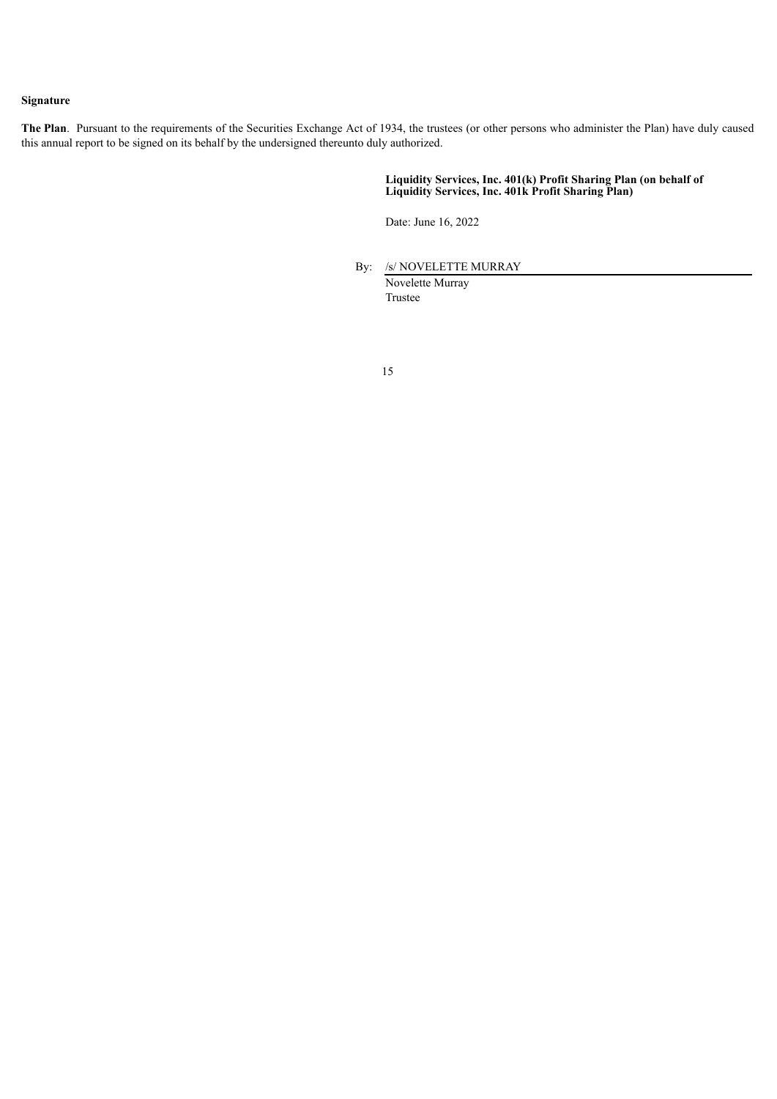# **Signature**

**The Plan**. Pursuant to the requirements of the Securities Exchange Act of 1934, the trustees (or other persons who administer the Plan) have duly caused this annual report to be signed on its behalf by the undersigned thereunto duly authorized.

#### **Liquidity Services, Inc. 401(k) Profit Sharing Plan (on behalf of Liquidity Services, Inc. 401k Profit Sharing Plan)**

Date: June 16, 2022

By: /s/ NOVELETTE MURRAY

Novelette Murray Trustee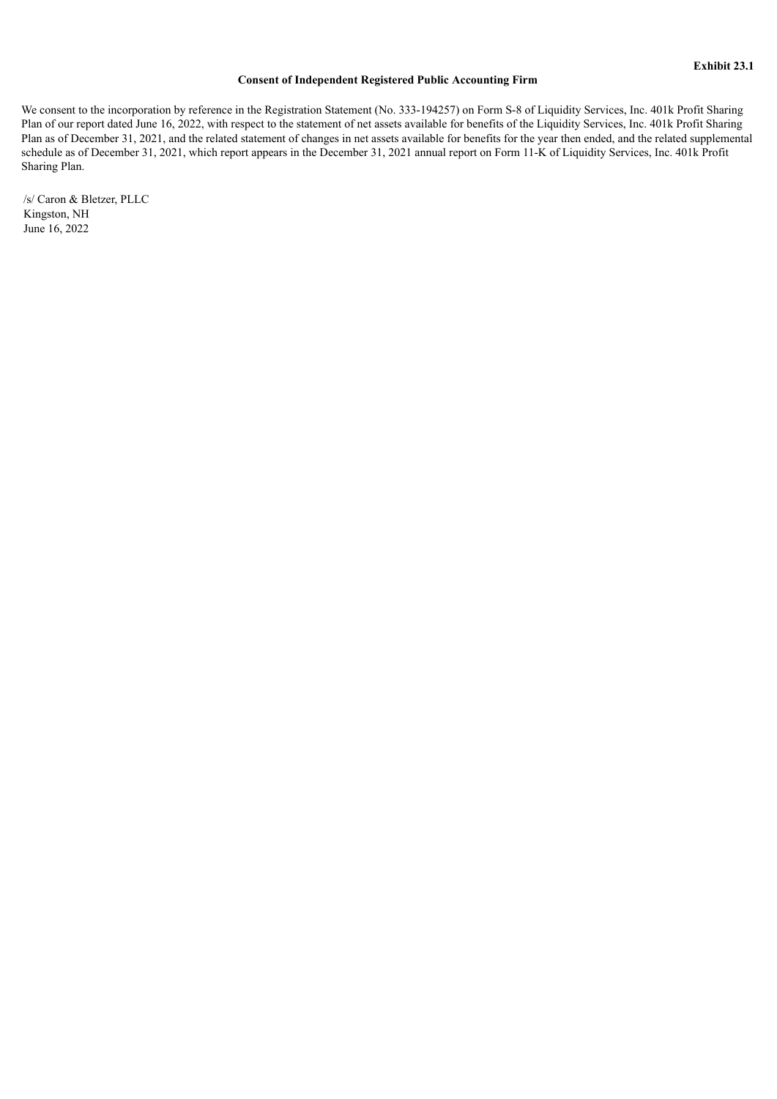# **Consent of Independent Registered Public Accounting Firm**

<span id="page-15-0"></span>We consent to the incorporation by reference in the Registration Statement (No. 333-194257) on Form S-8 of Liquidity Services, Inc. 401k Profit Sharing Plan of our report dated June 16, 2022, with respect to the statement of net assets available for benefits of the Liquidity Services, Inc. 401k Profit Sharing Plan as of December 31, 2021, and the related statement of changes in net assets available for benefits for the year then ended, and the related supplemental schedule as of December 31, 2021, which report appears in the December 31, 2021 annual report on Form 11-K of Liquidity Services, Inc. 401k Profit Sharing Plan.

/s/ Caron & Bletzer, PLLC Kingston, NH June 16, 2022